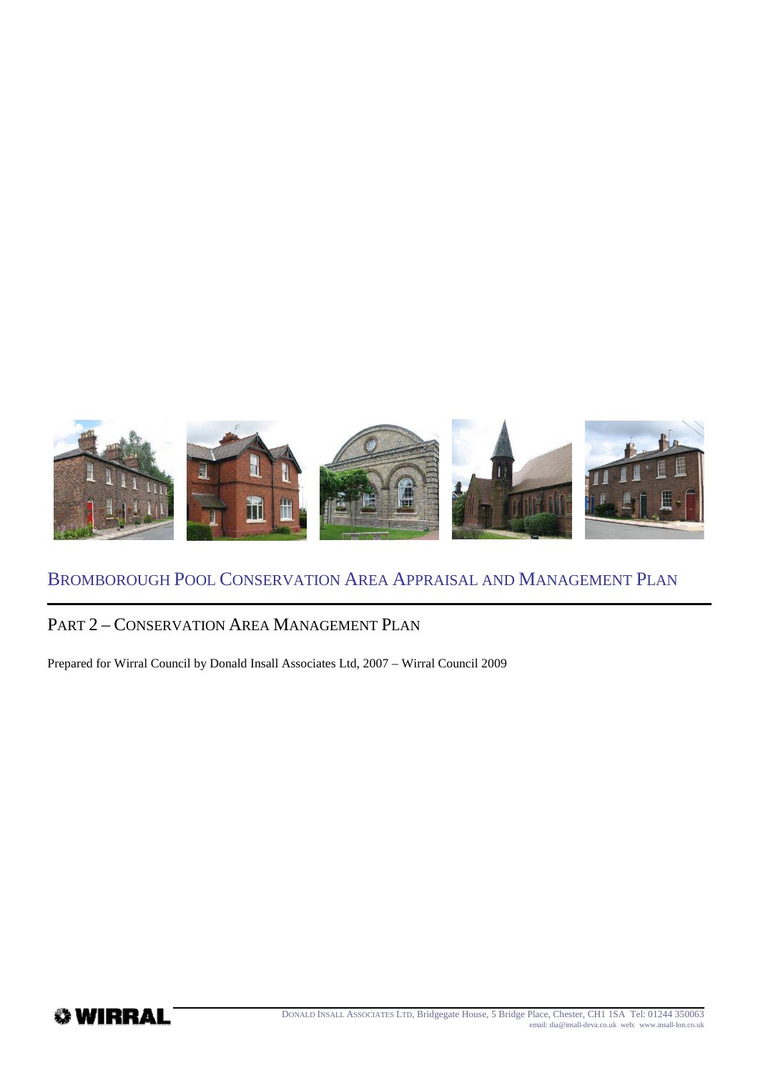

## PART 2 – CONSERVATION AREA MANAGEMENT PLAN

Prepared for Wirral Council by Donald Insall Associates Ltd, 2007 – Wirral Council 2009

*♦* WIRRAL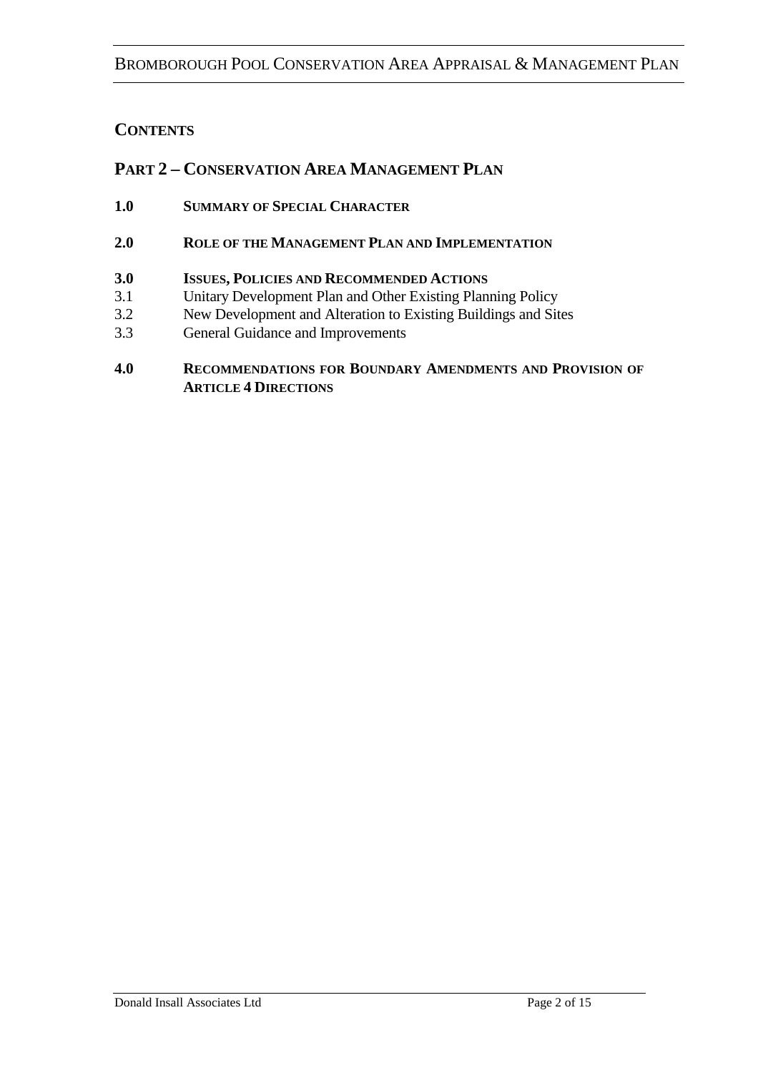### **CONTENTS**

### **PART 2 – CONSERVATION AREA MANAGEMENT PLAN**

- **1.0 SUMMARY OF SPECIAL CHARACTER**
- **2.0 ROLE OF THE MANAGEMENT PLAN AND IMPLEMENTATION**

#### **3.0 ISSUES, POLICIES AND RECOMMENDED ACTIONS**

- 3.1 Unitary Development Plan and Other Existing Planning Policy<br>3.2 New Development and Alteration to Existing Buildings and Sit
- New Development and Alteration to Existing Buildings and Sites
- 3.3 General Guidance and Improvements

#### **4.0 RECOMMENDATIONS FOR BOUNDARY AMENDMENTS AND PROVISION OF ARTICLE 4 DIRECTIONS**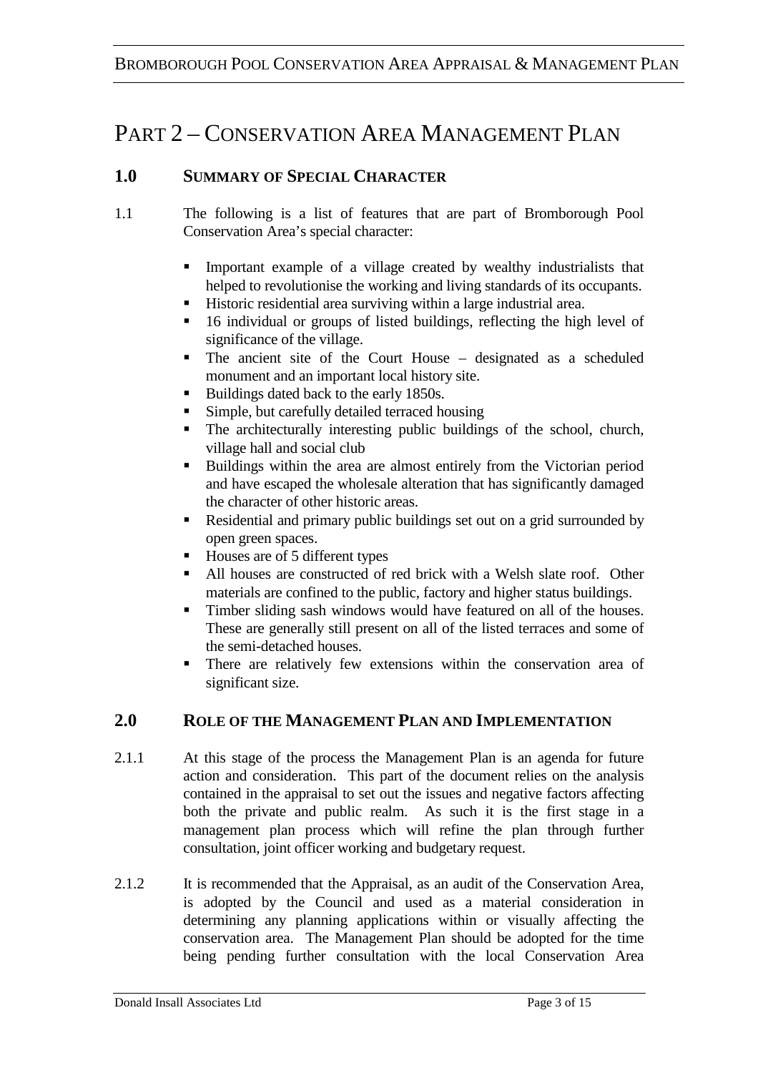# PART 2 – CONSERVATION AREA MANAGEMENT PLAN

### **1.0 SUMMARY OF SPECIAL CHARACTER**

- 1.1 The following is a list of features that are part of Bromborough Pool Conservation Area's special character:
	- Important example of a village created by wealthy industrialists that helped to revolutionise the working and living standards of its occupants.
	- Historic residential area surviving within a large industrial area.
	- 16 individual or groups of listed buildings, reflecting the high level of significance of the village.
	- The ancient site of the Court House designated as a scheduled monument and an important local history site.
	- Buildings dated back to the early 1850s.
	- Simple, but carefully detailed terraced housing
	- The architecturally interesting public buildings of the school, church, village hall and social club
	- Buildings within the area are almost entirely from the Victorian period and have escaped the wholesale alteration that has significantly damaged the character of other historic areas.
	- Residential and primary public buildings set out on a grid surrounded by open green spaces.
	- Houses are of 5 different types
	- All houses are constructed of red brick with a Welsh slate roof. Other materials are confined to the public, factory and higher status buildings.
	- Timber sliding sash windows would have featured on all of the houses. These are generally still present on all of the listed terraces and some of the semi-detached houses.
	- There are relatively few extensions within the conservation area of significant size.

### **2.0 ROLE OF THE MANAGEMENT PLAN AND IMPLEMENTATION**

- 2.1.1 At this stage of the process the Management Plan is an agenda for future action and consideration. This part of the document relies on the analysis contained in the appraisal to set out the issues and negative factors affecting both the private and public realm. As such it is the first stage in a management plan process which will refine the plan through further consultation, joint officer working and budgetary request.
- 2.1.2 It is recommended that the Appraisal, as an audit of the Conservation Area, is adopted by the Council and used as a material consideration in determining any planning applications within or visually affecting the conservation area. The Management Plan should be adopted for the time being pending further consultation with the local Conservation Area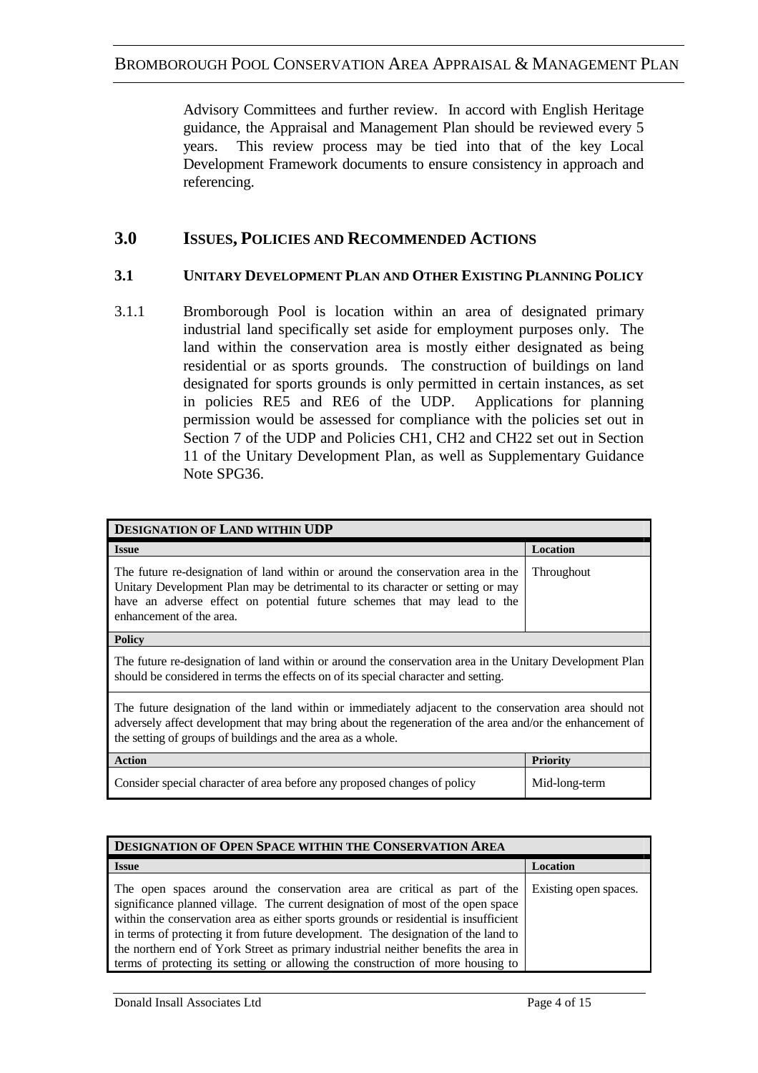Advisory Committees and further review. In accord with English Heritage guidance, the Appraisal and Management Plan should be reviewed every 5 years. This review process may be tied into that of the key Local Development Framework documents to ensure consistency in approach and referencing.

### **3.0 ISSUES, POLICIES AND RECOMMENDED ACTIONS**

#### **3.1 UNITARY DEVELOPMENT PLAN AND OTHER EXISTING PLANNING POLICY**

3.1.1 Bromborough Pool is location within an area of designated primary industrial land specifically set aside for employment purposes only. The land within the conservation area is mostly either designated as being residential or as sports grounds. The construction of buildings on land designated for sports grounds is only permitted in certain instances, as set in policies RE5 and RE6 of the UDP. Applications for planning permission would be assessed for compliance with the policies set out in Section 7 of the UDP and Policies CH1, CH2 and CH22 set out in Section 11 of the Unitary Development Plan, as well as Supplementary Guidance Note SPG36.

| DESIGNATION OF LAND WITHIN UDP                                                                                                                                                                                                                                                   |                   |
|----------------------------------------------------------------------------------------------------------------------------------------------------------------------------------------------------------------------------------------------------------------------------------|-------------------|
| <b>Issue</b>                                                                                                                                                                                                                                                                     | Location          |
| The future re-designation of land within or around the conservation area in the<br>Unitary Development Plan may be detrimental to its character or setting or may<br>have an adverse effect on potential future schemes that may lead to the<br>enhancement of the area.         | <b>Throughout</b> |
| <b>Policy</b>                                                                                                                                                                                                                                                                    |                   |
| The future re-designation of land within or around the conservation area in the Unitary Development Plan<br>should be considered in terms the effects on of its special character and setting.                                                                                   |                   |
| The future designation of the land within or immediately adjacent to the conservation area should not<br>adversely affect development that may bring about the regeneration of the area and/or the enhancement of<br>the setting of groups of buildings and the area as a whole. |                   |
| <b>Action</b>                                                                                                                                                                                                                                                                    | <b>Priority</b>   |
| Consider special character of area before any proposed changes of policy                                                                                                                                                                                                         | Mid-long-term     |

| DESIGNATION OF OPEN SPACE WITHIN THE CONSERVATION AREA                                                                                                                                                                                                                                                                                                                                                                                                                                                            |                       |
|-------------------------------------------------------------------------------------------------------------------------------------------------------------------------------------------------------------------------------------------------------------------------------------------------------------------------------------------------------------------------------------------------------------------------------------------------------------------------------------------------------------------|-----------------------|
| <b>Issue</b>                                                                                                                                                                                                                                                                                                                                                                                                                                                                                                      | Location              |
| The open spaces around the conservation area are critical as part of the<br>significance planned village. The current designation of most of the open space<br>within the conservation area as either sports grounds or residential is insufficient<br>in terms of protecting it from future development. The designation of the land to<br>the northern end of York Street as primary industrial neither benefits the area in<br>terms of protecting its setting or allowing the construction of more housing to | Existing open spaces. |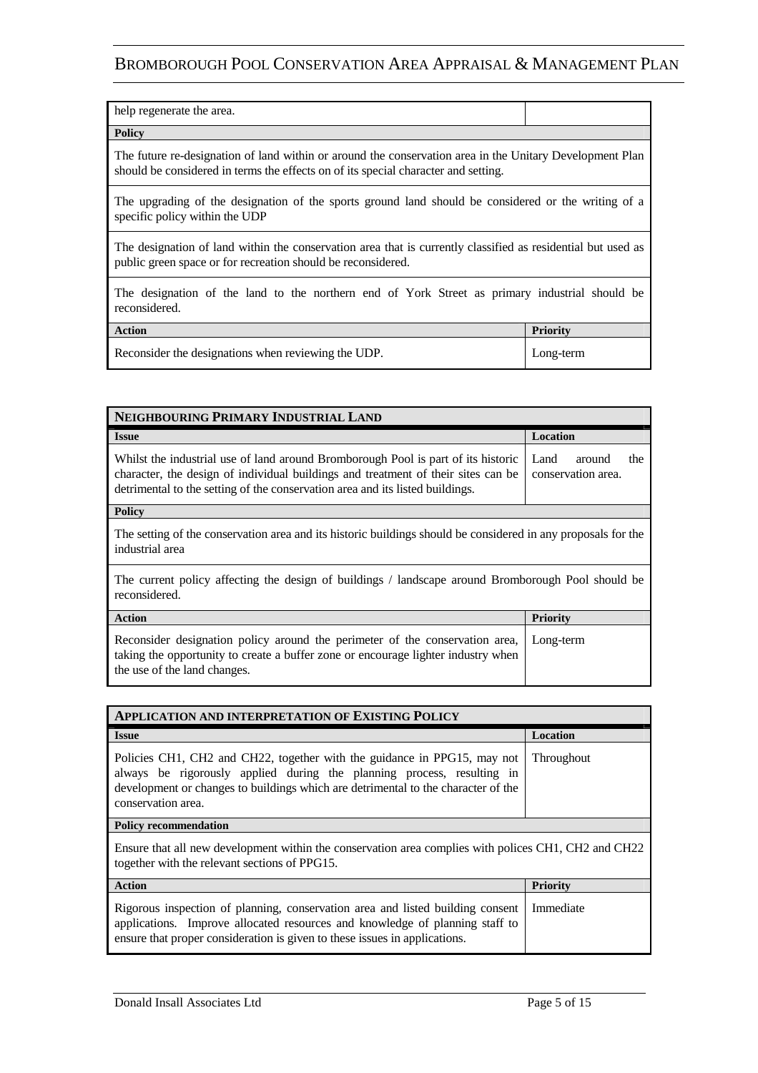| help regenerate the area.                                                                                                                                                                      |                 |
|------------------------------------------------------------------------------------------------------------------------------------------------------------------------------------------------|-----------------|
| <b>Policy</b>                                                                                                                                                                                  |                 |
| The future re-designation of land within or around the conservation area in the Unitary Development Plan<br>should be considered in terms the effects on of its special character and setting. |                 |
| The upgrading of the designation of the sports ground land should be considered or the writing of a<br>specific policy within the UDP                                                          |                 |
| The designation of land within the conservation area that is currently classified as residential but used as<br>public green space or for recreation should be reconsidered.                   |                 |
| The designation of the land to the northern end of York Street as primary industrial should be<br>reconsidered.                                                                                |                 |
| <b>Action</b>                                                                                                                                                                                  | <b>Priority</b> |
| Reconsider the designations when reviewing the UDP.                                                                                                                                            | Long-term       |

| NEIGHBOURING PRIMARY INDUSTRIAL LAND                                                                                                                                                                                                                    |                                             |
|---------------------------------------------------------------------------------------------------------------------------------------------------------------------------------------------------------------------------------------------------------|---------------------------------------------|
| <b>Issue</b>                                                                                                                                                                                                                                            | Location                                    |
| Whilst the industrial use of land around Bromborough Pool is part of its historic<br>character, the design of individual buildings and treatment of their sites can be<br>detrimental to the setting of the conservation area and its listed buildings. | Land<br>around<br>the<br>conservation area. |
| <b>Policy</b>                                                                                                                                                                                                                                           |                                             |
| The setting of the conservation area and its historic buildings should be considered in any proposals for the<br>industrial area                                                                                                                        |                                             |
| The current policy affecting the design of buildings / landscape around Bromborough Pool should be<br>reconsidered.                                                                                                                                     |                                             |
| <b>Action</b>                                                                                                                                                                                                                                           | <b>Priority</b>                             |
| Reconsider designation policy around the perimeter of the conservation area,<br>taking the opportunity to create a buffer zone or encourage lighter industry when<br>the use of the land changes.                                                       | Long-term                                   |

| <b>APPLICATION AND INTERPRETATION OF EXISTING POLICY</b>                                                                                                                                                                                                      |                   |
|---------------------------------------------------------------------------------------------------------------------------------------------------------------------------------------------------------------------------------------------------------------|-------------------|
| <b>Issue</b>                                                                                                                                                                                                                                                  | Location          |
| Policies CH1, CH2 and CH22, together with the guidance in PPG15, may not<br>always be rigorously applied during the planning process, resulting in<br>development or changes to buildings which are detrimental to the character of the<br>conservation area. | <b>Throughout</b> |
| <b>Policy recommendation</b>                                                                                                                                                                                                                                  |                   |
| Ensure that all new development within the conservation area complies with polices CH1, CH2 and CH22<br>together with the relevant sections of PPG15.                                                                                                         |                   |
| <b>Action</b>                                                                                                                                                                                                                                                 | <b>Priority</b>   |
| Rigorous inspection of planning, conservation area and listed building consent<br>applications. Improve allocated resources and knowledge of planning staff to<br>ensure that proper consideration is given to these issues in applications.                  | Immediate         |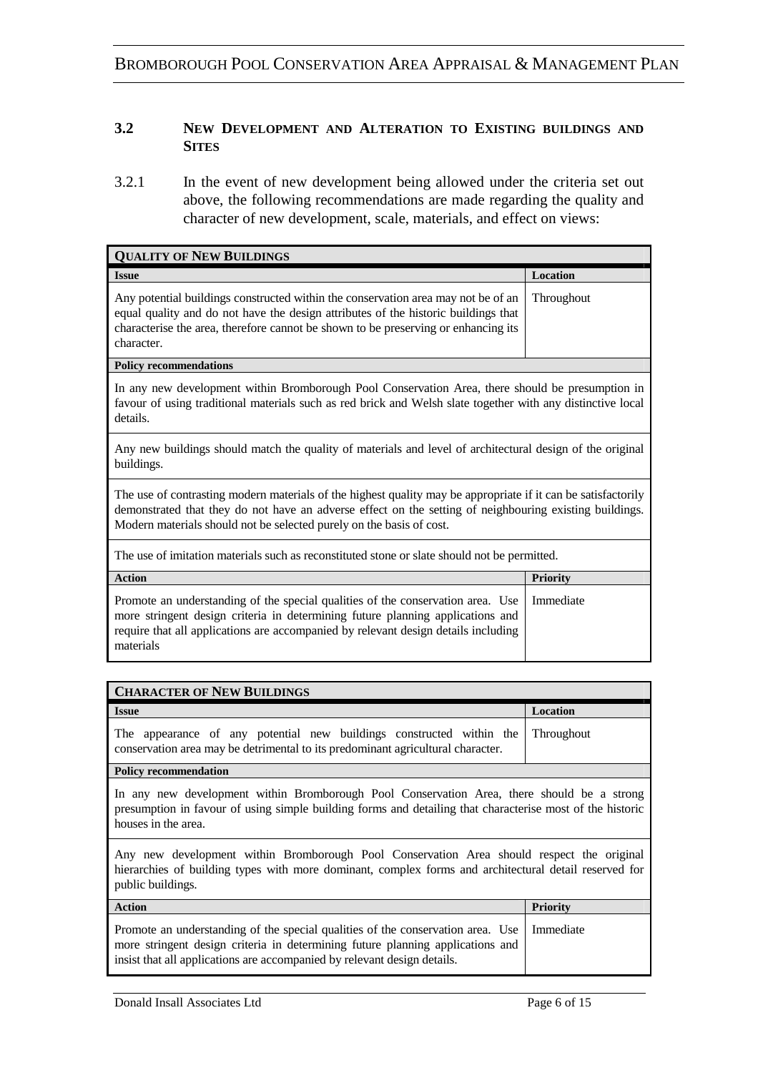#### **3.2 NEW DEVELOPMENT AND ALTERATION TO EXISTING BUILDINGS AND SITES**

3.2.1 In the event of new development being allowed under the criteria set out above, the following recommendations are made regarding the quality and character of new development, scale, materials, and effect on views:

| <b>QUALITY OF NEW BUILDINGS</b>                                                                                                                                                                                                                                             |            |
|-----------------------------------------------------------------------------------------------------------------------------------------------------------------------------------------------------------------------------------------------------------------------------|------------|
| <b>Issue</b>                                                                                                                                                                                                                                                                | Location   |
| Any potential buildings constructed within the conservation area may not be of an<br>equal quality and do not have the design attributes of the historic buildings that<br>characterise the area, therefore cannot be shown to be preserving or enhancing its<br>character. | Throughout |
| <b>Policy recommendations</b>                                                                                                                                                                                                                                               |            |

In any new development within Bromborough Pool Conservation Area, there should be presumption in favour of using traditional materials such as red brick and Welsh slate together with any distinctive local details.

Any new buildings should match the quality of materials and level of architectural design of the original buildings.

The use of contrasting modern materials of the highest quality may be appropriate if it can be satisfactorily demonstrated that they do not have an adverse effect on the setting of neighbouring existing buildings. Modern materials should not be selected purely on the basis of cost.

The use of imitation materials such as reconstituted stone or slate should not be permitted.

| <b>Action</b>                                                                                                                                                                                                                                                                    | <b>Priority</b> |
|----------------------------------------------------------------------------------------------------------------------------------------------------------------------------------------------------------------------------------------------------------------------------------|-----------------|
| Promote an understanding of the special qualities of the conservation area. Use   Immediate<br>more stringent design criteria in determining future planning applications and<br>require that all applications are accompanied by relevant design details including<br>materials |                 |

| <b>CHARACTER OF NEW BUILDINGS</b>                                                                                                                                  |          |
|--------------------------------------------------------------------------------------------------------------------------------------------------------------------|----------|
| <b>Issue</b>                                                                                                                                                       | Location |
| The appearance of any potential new buildings constructed within the Throughout<br>conservation area may be detrimental to its predominant agricultural character. |          |

#### **Policy recommendation**

In any new development within Bromborough Pool Conservation Area, there should be a strong presumption in favour of using simple building forms and detailing that characterise most of the historic houses in the area.

Any new development within Bromborough Pool Conservation Area should respect the original hierarchies of building types with more dominant, complex forms and architectural detail reserved for public buildings.

| <b>Action</b>                                                                                                                                                                                                                                             | <b>Priority</b> |
|-----------------------------------------------------------------------------------------------------------------------------------------------------------------------------------------------------------------------------------------------------------|-----------------|
| Promote an understanding of the special qualities of the conservation area. Use   Immediate<br>more stringent design criteria in determining future planning applications and<br>insist that all applications are accompanied by relevant design details. |                 |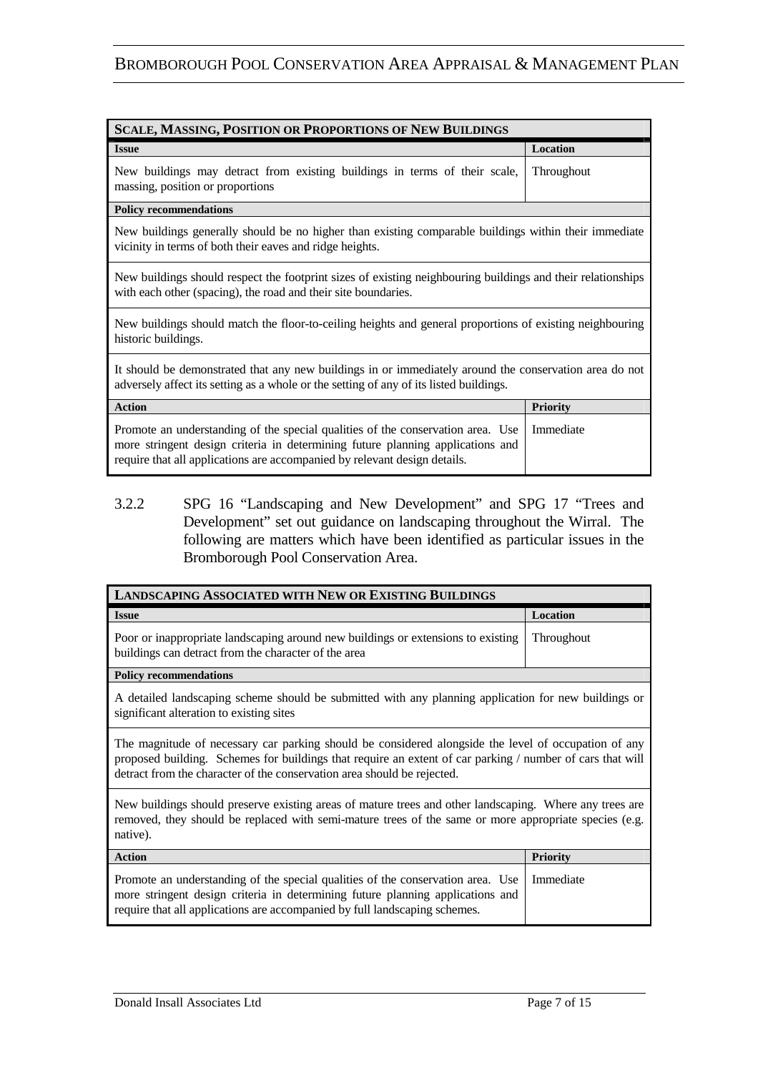| <b>SCALE, MASSING, POSITION OR PROPORTIONS OF NEW BUILDINGS</b>                                                                                                                                                                                |                   |
|------------------------------------------------------------------------------------------------------------------------------------------------------------------------------------------------------------------------------------------------|-------------------|
| <b>Issue</b>                                                                                                                                                                                                                                   | Location          |
| New buildings may detract from existing buildings in terms of their scale,<br>massing, position or proportions                                                                                                                                 | <b>Throughout</b> |
| <b>Policy recommendations</b>                                                                                                                                                                                                                  |                   |
| New buildings generally should be no higher than existing comparable buildings within their immediate<br>vicinity in terms of both their eaves and ridge heights.                                                                              |                   |
| New buildings should respect the footprint sizes of existing neighbouring buildings and their relationships<br>with each other (spacing), the road and their site boundaries.                                                                  |                   |
| New buildings should match the floor-to-ceiling heights and general proportions of existing neighbouring<br>historic buildings.                                                                                                                |                   |
| It should be demonstrated that any new buildings in or immediately around the conservation area do not<br>adversely affect its setting as a whole or the setting of any of its listed buildings.                                               |                   |
| <b>Action</b>                                                                                                                                                                                                                                  | <b>Priority</b>   |
| Promote an understanding of the special qualities of the conservation area. Use<br>more stringent design criteria in determining future planning applications and<br>require that all applications are accompanied by relevant design details. | Immediate         |

3.2.2 SPG 16 "Landscaping and New Development" and SPG 17 "Trees and Development" set out guidance on landscaping throughout the Wirral. The following are matters which have been identified as particular issues in the Bromborough Pool Conservation Area.

| <b>LANDSCAPING ASSOCIATED WITH NEW OR EXISTING BUILDINGS</b>                                                                                                                                                                                                                                 |                 |
|----------------------------------------------------------------------------------------------------------------------------------------------------------------------------------------------------------------------------------------------------------------------------------------------|-----------------|
| <b>Issue</b>                                                                                                                                                                                                                                                                                 | Location        |
| Poor or inappropriate landscaping around new buildings or extensions to existing<br>buildings can detract from the character of the area                                                                                                                                                     | Throughout      |
| <b>Policy recommendations</b>                                                                                                                                                                                                                                                                |                 |
| A detailed landscaping scheme should be submitted with any planning application for new buildings or<br>significant alteration to existing sites                                                                                                                                             |                 |
| The magnitude of necessary car parking should be considered alongside the level of occupation of any<br>proposed building. Schemes for buildings that require an extent of car parking / number of cars that will<br>detract from the character of the conservation area should be rejected. |                 |
| New buildings should preserve existing areas of mature trees and other landscaping. Where any trees are<br>removed, they should be replaced with semi-mature trees of the same or more appropriate species (e.g.<br>native).                                                                 |                 |
| <b>Action</b>                                                                                                                                                                                                                                                                                | <b>Priority</b> |
| Promote an understanding of the special qualities of the conservation area. Use<br>more stringent design criteria in determining future planning applications and<br>require that all applications are accompanied by full landscaping schemes.                                              | Immediate       |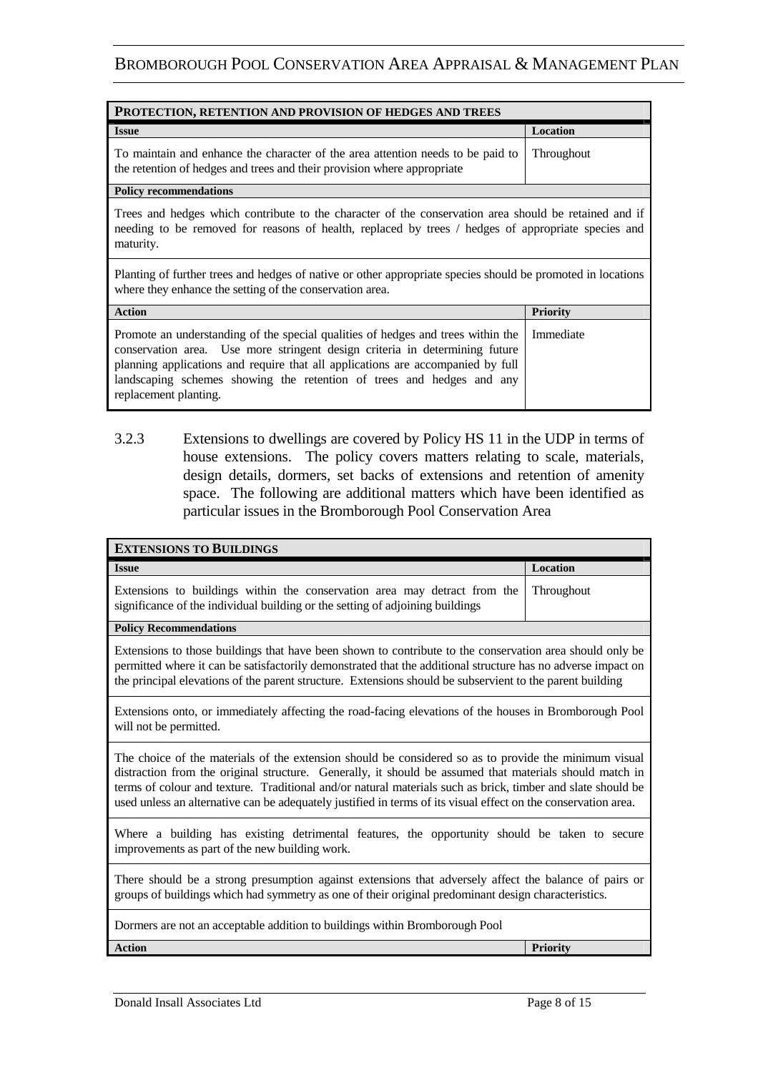| <b>Issue</b>                                                                                                                                                          | Location |
|-----------------------------------------------------------------------------------------------------------------------------------------------------------------------|----------|
|                                                                                                                                                                       |          |
| To maintain and enhance the character of the area attention needs to be paid to Throughout<br>the retention of hedges and trees and their provision where appropriate |          |

#### **Policy recommendations**

Trees and hedges which contribute to the character of the conservation area should be retained and if needing to be removed for reasons of health, replaced by trees / hedges of appropriate species and maturity.

Planting of further trees and hedges of native or other appropriate species should be promoted in locations where they enhance the setting of the conservation area.

| <b>Action</b>                                                                                                                                                                                                                                                                                                                                                  | <b>Priority</b> |
|----------------------------------------------------------------------------------------------------------------------------------------------------------------------------------------------------------------------------------------------------------------------------------------------------------------------------------------------------------------|-----------------|
| Promote an understanding of the special qualities of hedges and trees within the Immediate<br>conservation area. Use more stringent design criteria in determining future<br>planning applications and require that all applications are accompanied by full<br>landscaping schemes showing the retention of trees and hedges and any<br>replacement planting. |                 |

3.2.3 Extensions to dwellings are covered by Policy HS 11 in the UDP in terms of house extensions. The policy covers matters relating to scale, materials, design details, dormers, set backs of extensions and retention of amenity space. The following are additional matters which have been identified as particular issues in the Bromborough Pool Conservation Area

| <b>EXTENSIONS TO BUILDINGS</b>                                                                                                                                                                                                                                                                                                                                                                                                                    |                   |
|---------------------------------------------------------------------------------------------------------------------------------------------------------------------------------------------------------------------------------------------------------------------------------------------------------------------------------------------------------------------------------------------------------------------------------------------------|-------------------|
| <b>Issue</b>                                                                                                                                                                                                                                                                                                                                                                                                                                      | Location          |
| Extensions to buildings within the conservation area may detract from the<br>significance of the individual building or the setting of adjoining buildings                                                                                                                                                                                                                                                                                        | <b>Throughout</b> |
| <b>Policy Recommendations</b>                                                                                                                                                                                                                                                                                                                                                                                                                     |                   |
| Extensions to those buildings that have been shown to contribute to the conservation area should only be<br>permitted where it can be satisfactorily demonstrated that the additional structure has no adverse impact on<br>the principal elevations of the parent structure. Extensions should be subservient to the parent building                                                                                                             |                   |
| Extensions onto, or immediately affecting the road-facing elevations of the houses in Bromborough Pool<br>will not be permitted.                                                                                                                                                                                                                                                                                                                  |                   |
| The choice of the materials of the extension should be considered so as to provide the minimum visual<br>distraction from the original structure. Generally, it should be assumed that materials should match in<br>terms of colour and texture. Traditional and/or natural materials such as brick, timber and slate should be<br>used unless an alternative can be adequately justified in terms of its visual effect on the conservation area. |                   |
| Where a building has existing detrimental features, the opportunity should be taken to secure<br>improvements as part of the new building work.                                                                                                                                                                                                                                                                                                   |                   |
| There should be a strong presumption against extensions that adversely affect the balance of pairs or<br>groups of buildings which had symmetry as one of their original predominant design characteristics.                                                                                                                                                                                                                                      |                   |
| Dormers are not an acceptable addition to buildings within Bromborough Pool                                                                                                                                                                                                                                                                                                                                                                       |                   |
| <b>Action</b>                                                                                                                                                                                                                                                                                                                                                                                                                                     | <b>Priority</b>   |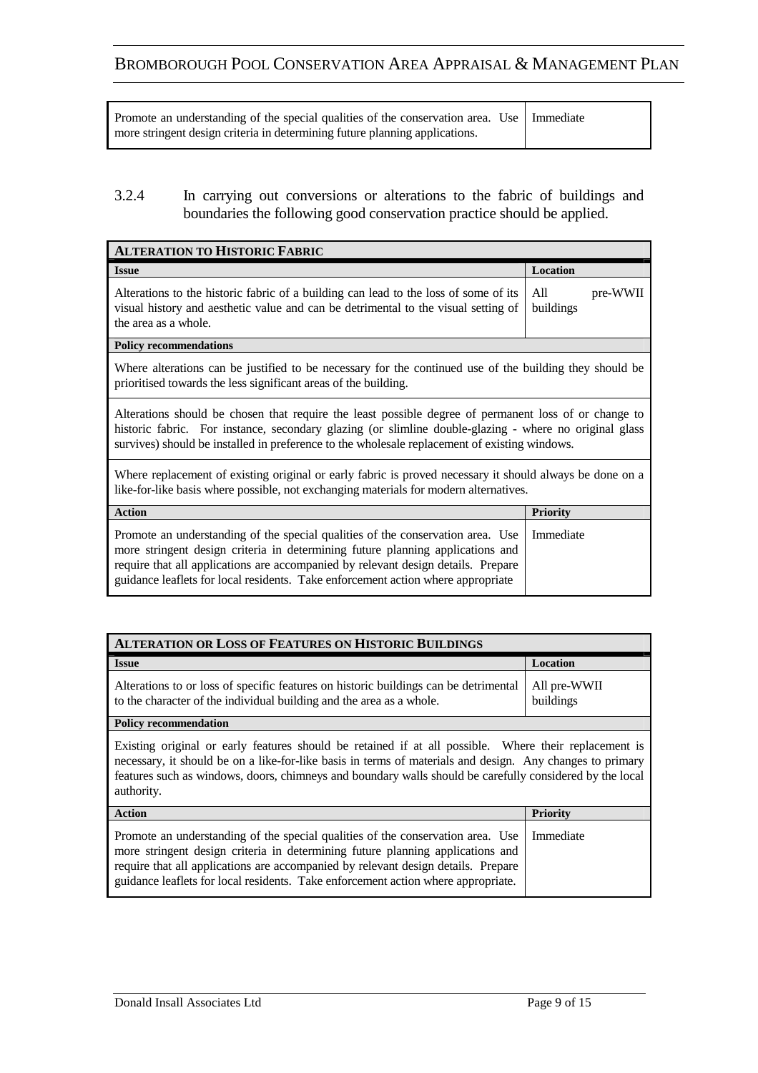| Promote an understanding of the special qualities of the conservation area. Use   Immediate |  |
|---------------------------------------------------------------------------------------------|--|
| more stringent design criteria in determining future planning applications.                 |  |

### 3.2.4 In carrying out conversions or alterations to the fabric of buildings and boundaries the following good conservation practice should be applied.

| <b>ALTERATION TO HISTORIC FABRIC</b>                                                                                                                                                                                                                                                                                                       |                              |
|--------------------------------------------------------------------------------------------------------------------------------------------------------------------------------------------------------------------------------------------------------------------------------------------------------------------------------------------|------------------------------|
| <b>Issue</b>                                                                                                                                                                                                                                                                                                                               | Location                     |
| Alterations to the historic fabric of a building can lead to the loss of some of its<br>visual history and aesthetic value and can be detrimental to the visual setting of<br>the area as a whole.                                                                                                                                         | All<br>pre-WWII<br>buildings |
| <b>Policy recommendations</b>                                                                                                                                                                                                                                                                                                              |                              |
| Where alterations can be justified to be necessary for the continued use of the building they should be<br>prioritised towards the less significant areas of the building.                                                                                                                                                                 |                              |
| Alterations should be chosen that require the least possible degree of permanent loss of or change to<br>historic fabric. For instance, secondary glazing (or slimline double-glazing - where no original glass<br>survives) should be installed in preference to the wholesale replacement of existing windows.                           |                              |
| Where replacement of existing original or early fabric is proved necessary it should always be done on a<br>like-for-like basis where possible, not exchanging materials for modern alternatives.                                                                                                                                          |                              |
| <b>Action</b>                                                                                                                                                                                                                                                                                                                              | <b>Priority</b>              |
| Promote an understanding of the special qualities of the conservation area. Use<br>more stringent design criteria in determining future planning applications and<br>require that all applications are accompanied by relevant design details. Prepare<br>guidance leaflets for local residents. Take enforcement action where appropriate | Immediate                    |

| <b>ALTERATION OR LOSS OF FEATURES ON HISTORIC BUILDINGS</b>                                                                                                                                                                                                                                                                                  |                           |
|----------------------------------------------------------------------------------------------------------------------------------------------------------------------------------------------------------------------------------------------------------------------------------------------------------------------------------------------|---------------------------|
| <b>Issue</b>                                                                                                                                                                                                                                                                                                                                 | Location                  |
| Alterations to or loss of specific features on historic buildings can be detrimental<br>to the character of the individual building and the area as a whole.                                                                                                                                                                                 | All pre-WWII<br>buildings |
| <b>Policy recommendation</b>                                                                                                                                                                                                                                                                                                                 |                           |
| Existing original or early features should be retained if at all possible. Where their replacement is<br>necessary, it should be on a like-for-like basis in terms of materials and design. Any changes to primary<br>features such as windows, doors, chimneys and boundary walls should be carefully considered by the local<br>authority. |                           |
| <b>Action</b>                                                                                                                                                                                                                                                                                                                                | <b>Priority</b>           |
| Promote an understanding of the special qualities of the conservation area. Use<br>more stringent design criteria in determining future planning applications and<br>require that all applications are accompanied by relevant design details. Prepare<br>guidance leaflets for local residents. Take enforcement action where appropriate.  | Immediate                 |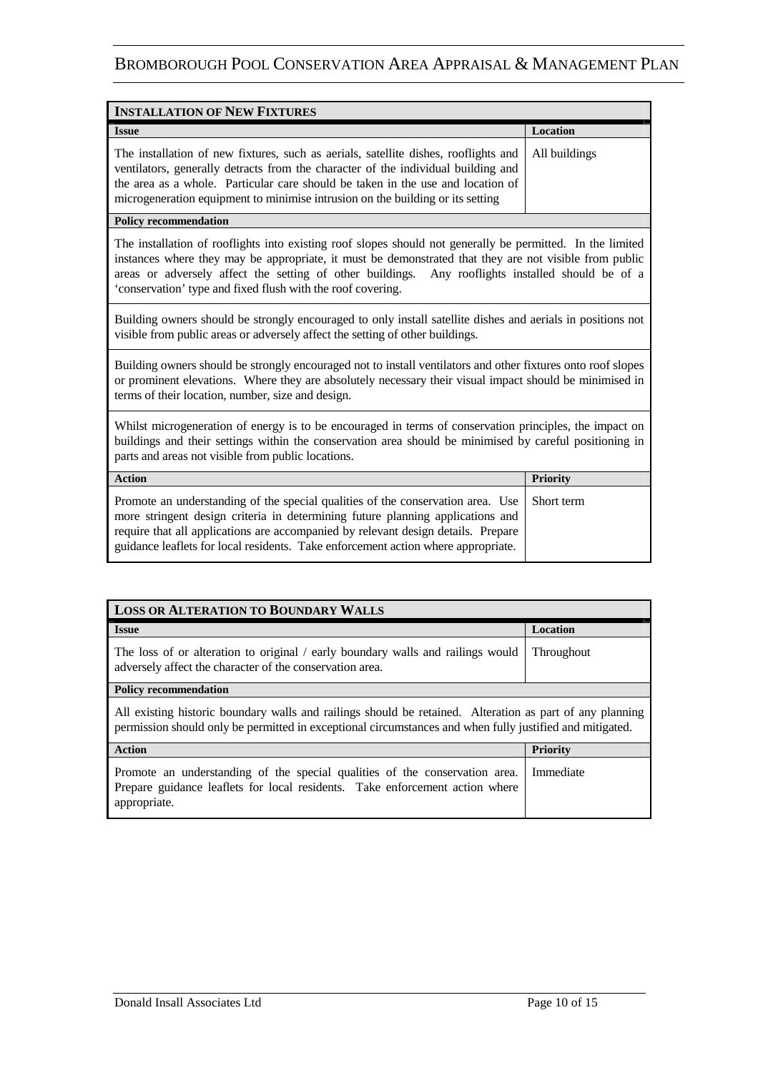| <b>INSTALLATION OF NEW FIXTURES</b>                                                                                                                                                                                                                                                                                                           |               |
|-----------------------------------------------------------------------------------------------------------------------------------------------------------------------------------------------------------------------------------------------------------------------------------------------------------------------------------------------|---------------|
| <b>Issue</b>                                                                                                                                                                                                                                                                                                                                  | Location      |
| The installation of new fixtures, such as aerials, satellite dishes, rooflights and<br>ventilators, generally detracts from the character of the individual building and<br>the area as a whole. Particular care should be taken in the use and location of<br>microgeneration equipment to minimise intrusion on the building or its setting | All buildings |

#### **Policy recommendation**

The installation of rooflights into existing roof slopes should not generally be permitted. In the limited instances where they may be appropriate, it must be demonstrated that they are not visible from public areas or adversely affect the setting of other buildings. Any rooflights installed should be of a 'conservation' type and fixed flush with the roof covering.

Building owners should be strongly encouraged to only install satellite dishes and aerials in positions not visible from public areas or adversely affect the setting of other buildings.

Building owners should be strongly encouraged not to install ventilators and other fixtures onto roof slopes or prominent elevations. Where they are absolutely necessary their visual impact should be minimised in terms of their location, number, size and design.

Whilst microgeneration of energy is to be encouraged in terms of conservation principles, the impact on buildings and their settings within the conservation area should be minimised by careful positioning in parts and areas not visible from public locations.

| <b>Action</b>                                                                                                                                                                                                                                                                                                                                            | <b>Priority</b> |
|----------------------------------------------------------------------------------------------------------------------------------------------------------------------------------------------------------------------------------------------------------------------------------------------------------------------------------------------------------|-----------------|
| Promote an understanding of the special qualities of the conservation area. Use   Short term<br>more stringent design criteria in determining future planning applications and<br>require that all applications are accompanied by relevant design details. Prepare<br>guidance leaflets for local residents. Take enforcement action where appropriate. |                 |

| <b>LOSS OR ALTERATION TO BOUNDARY WALLS</b>                                                                                                                                                                          |                   |  |
|----------------------------------------------------------------------------------------------------------------------------------------------------------------------------------------------------------------------|-------------------|--|
| <b>Issue</b>                                                                                                                                                                                                         | <b>Location</b>   |  |
| The loss of or alteration to original / early boundary walls and railings would<br>adversely affect the character of the conservation area.                                                                          | <b>Throughout</b> |  |
| <b>Policy recommendation</b>                                                                                                                                                                                         |                   |  |
| All existing historic boundary walls and railings should be retained. Alteration as part of any planning<br>permission should only be permitted in exceptional circumstances and when fully justified and mitigated. |                   |  |
| <b>Action</b>                                                                                                                                                                                                        | <b>Priority</b>   |  |
| Promote an understanding of the special qualities of the conservation area.<br>Prepare guidance leaflets for local residents. Take enforcement action where<br>appropriate.                                          | Immediate         |  |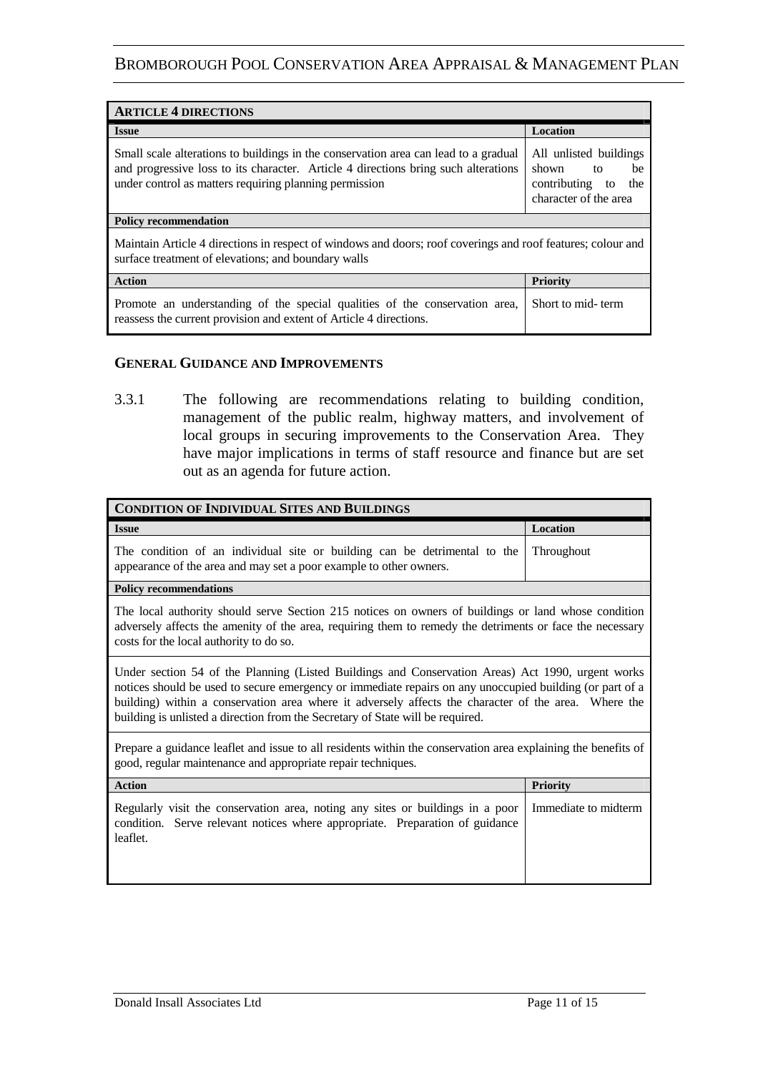| <b>ARTICLE 4 DIRECTIONS</b>                                                                                                                                                                                                         |                                                                                                |  |
|-------------------------------------------------------------------------------------------------------------------------------------------------------------------------------------------------------------------------------------|------------------------------------------------------------------------------------------------|--|
| <b>Issue</b>                                                                                                                                                                                                                        | <b>Location</b>                                                                                |  |
| Small scale alterations to buildings in the conservation area can lead to a gradual<br>and progressive loss to its character. Article 4 directions bring such alterations<br>under control as matters requiring planning permission | All unlisted buildings<br>shown<br>to<br>be<br>contributing to<br>the<br>character of the area |  |
| <b>Policy recommendation</b>                                                                                                                                                                                                        |                                                                                                |  |
| Maintain Article 4 directions in respect of windows and doors; roof coverings and roof features; colour and<br>surface treatment of elevations; and boundary walls                                                                  |                                                                                                |  |
| <b>Action</b>                                                                                                                                                                                                                       | Priority                                                                                       |  |
| Promote an understanding of the special qualities of the conservation area,<br>reassess the current provision and extent of Article 4 directions.                                                                                   | Short to mid-term                                                                              |  |

#### **GENERAL GUIDANCE AND IMPROVEMENTS**

3.3.1 The following are recommendations relating to building condition, management of the public realm, highway matters, and involvement of local groups in securing improvements to the Conservation Area. They have major implications in terms of staff resource and finance but are set out as an agenda for future action.

| <b>CONDITION OF INDIVIDUAL SITES AND BUILDINGS</b>                                                                                                                                                                                                                                                                                                                                                      |                      |  |
|---------------------------------------------------------------------------------------------------------------------------------------------------------------------------------------------------------------------------------------------------------------------------------------------------------------------------------------------------------------------------------------------------------|----------------------|--|
| <b>Issue</b>                                                                                                                                                                                                                                                                                                                                                                                            | Location             |  |
| The condition of an individual site or building can be detrimental to the<br>appearance of the area and may set a poor example to other owners.                                                                                                                                                                                                                                                         | Throughout           |  |
| <b>Policy recommendations</b>                                                                                                                                                                                                                                                                                                                                                                           |                      |  |
| The local authority should serve Section 215 notices on owners of buildings or land whose condition<br>adversely affects the amenity of the area, requiring them to remedy the detriments or face the necessary<br>costs for the local authority to do so.                                                                                                                                              |                      |  |
| Under section 54 of the Planning (Listed Buildings and Conservation Areas) Act 1990, urgent works<br>notices should be used to secure emergency or immediate repairs on any unoccupied building (or part of a<br>building) within a conservation area where it adversely affects the character of the area. Where the<br>building is unlisted a direction from the Secretary of State will be required. |                      |  |
| Prepare a guidance leaflet and issue to all residents within the conservation area explaining the benefits of<br>good, regular maintenance and appropriate repair techniques.                                                                                                                                                                                                                           |                      |  |
| <b>Action</b>                                                                                                                                                                                                                                                                                                                                                                                           | <b>Priority</b>      |  |
| Regularly visit the conservation area, noting any sites or buildings in a poor<br>condition. Serve relevant notices where appropriate. Preparation of guidance<br>leaflet.                                                                                                                                                                                                                              | Immediate to midterm |  |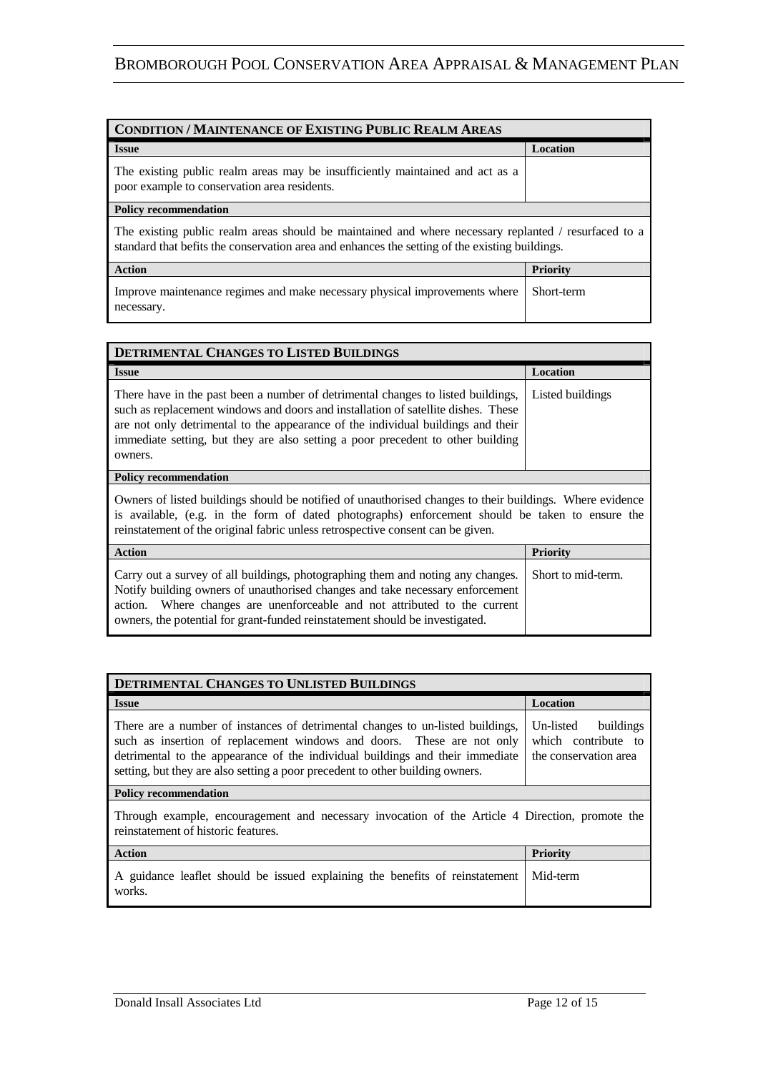| <b>CONDITION / MAINTENANCE OF EXISTING PUBLIC REALM AREAS</b>                                                                                                                                          |                 |
|--------------------------------------------------------------------------------------------------------------------------------------------------------------------------------------------------------|-----------------|
| <b>Issue</b>                                                                                                                                                                                           | <b>Location</b> |
| The existing public realm areas may be insufficiently maintained and act as a<br>poor example to conservation area residents.                                                                          |                 |
| <b>Policy recommendation</b>                                                                                                                                                                           |                 |
| The existing public realm areas should be maintained and where necessary replanted / resurfaced to a<br>standard that befits the conservation area and enhances the setting of the existing buildings. |                 |
| Action                                                                                                                                                                                                 | <b>Priority</b> |
| Improve maintenance regimes and make necessary physical improvements where<br>necessary.                                                                                                               | Short-term      |

| <b>DETRIMENTAL CHANGES TO LISTED BUILDINGS</b>                                                                                                                                                                                                                                                                                                          |                    |
|---------------------------------------------------------------------------------------------------------------------------------------------------------------------------------------------------------------------------------------------------------------------------------------------------------------------------------------------------------|--------------------|
| <b>Issue</b>                                                                                                                                                                                                                                                                                                                                            | Location           |
| There have in the past been a number of detrimental changes to listed buildings,<br>such as replacement windows and doors and installation of satellite dishes. These<br>are not only detrimental to the appearance of the individual buildings and their<br>immediate setting, but they are also setting a poor precedent to other building<br>owners. | Listed buildings   |
| <b>Policy recommendation</b>                                                                                                                                                                                                                                                                                                                            |                    |
| Owners of listed buildings should be notified of unauthorised changes to their buildings. Where evidence<br>is available, (e.g. in the form of dated photographs) enforcement should be taken to ensure the<br>reinstatement of the original fabric unless retrospective consent can be given.                                                          |                    |
| <b>Action</b>                                                                                                                                                                                                                                                                                                                                           | <b>Priority</b>    |
| Carry out a survey of all buildings, photographing them and noting any changes.<br>Notify building owners of unauthorised changes and take necessary enforcement<br>Where changes are unenforceable and not attributed to the current<br>action.<br>owners, the potential for grant-funded reinstatement should be investigated.                        | Short to mid-term. |

| <b>DETRIMENTAL CHANGES TO UNLISTED BUILDINGS</b>                                                                                                                                                                                                                                                                           |                                                                        |  |
|----------------------------------------------------------------------------------------------------------------------------------------------------------------------------------------------------------------------------------------------------------------------------------------------------------------------------|------------------------------------------------------------------------|--|
| <b>Issue</b>                                                                                                                                                                                                                                                                                                               | <b>Location</b>                                                        |  |
| There are a number of instances of detrimental changes to un-listed buildings,<br>such as insertion of replacement windows and doors. These are not only<br>detrimental to the appearance of the individual buildings and their immediate<br>setting, but they are also setting a poor precedent to other building owners. | Un-listed<br>buildings<br>which contribute to<br>the conservation area |  |
| <b>Policy recommendation</b>                                                                                                                                                                                                                                                                                               |                                                                        |  |
| Through example, encouragement and necessary invocation of the Article 4 Direction, promote the<br>reinstatement of historic features.                                                                                                                                                                                     |                                                                        |  |
| <b>Action</b>                                                                                                                                                                                                                                                                                                              | <b>Priority</b>                                                        |  |
| A guidance leaflet should be issued explaining the benefits of reinstatement<br>works.                                                                                                                                                                                                                                     | Mid-term                                                               |  |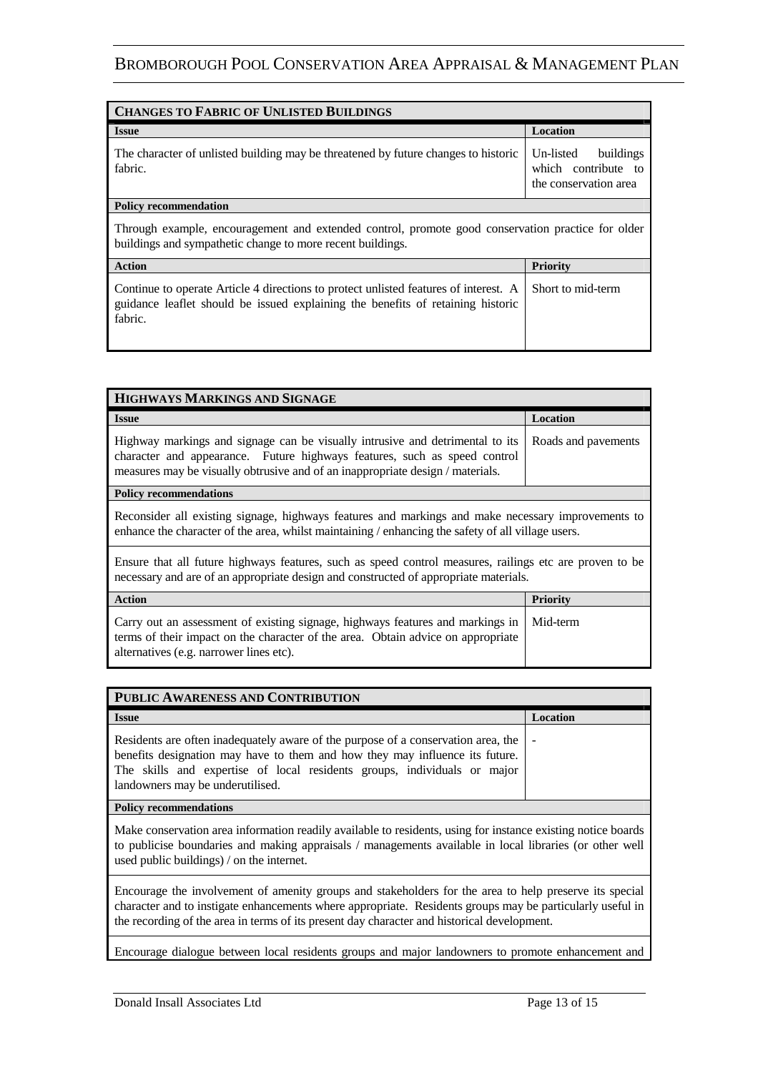| <b>CHANGES TO FABRIC OF UNLISTED BUILDINGS</b>                                                                                                                                     |                                                                        |  |
|------------------------------------------------------------------------------------------------------------------------------------------------------------------------------------|------------------------------------------------------------------------|--|
| <b>Issue</b>                                                                                                                                                                       | <b>Location</b>                                                        |  |
| The character of unlisted building may be threatened by future changes to historic<br>fabric.                                                                                      | buildings<br>Un-listed<br>which contribute to<br>the conservation area |  |
| <b>Policy recommendation</b>                                                                                                                                                       |                                                                        |  |
| Through example, encouragement and extended control, promote good conservation practice for older<br>buildings and sympathetic change to more recent buildings.                    |                                                                        |  |
| <b>Action</b>                                                                                                                                                                      | <b>Priority</b>                                                        |  |
| Continue to operate Article 4 directions to protect unlisted features of interest. A<br>guidance leaflet should be issued explaining the benefits of retaining historic<br>fabric. | Short to mid-term                                                      |  |

| HIGHWAYS MARKINGS AND SIGNAGE                                                                                                                                                                                                                |                     |  |
|----------------------------------------------------------------------------------------------------------------------------------------------------------------------------------------------------------------------------------------------|---------------------|--|
| <b>Issue</b>                                                                                                                                                                                                                                 | <b>Location</b>     |  |
| Highway markings and signage can be visually intrusive and detrimental to its<br>character and appearance. Future highways features, such as speed control<br>measures may be visually obtrusive and of an inappropriate design / materials. | Roads and pavements |  |
| <b>Policy recommendations</b>                                                                                                                                                                                                                |                     |  |
| Reconsider all existing signage, highways features and markings and make necessary improvements to<br>enhance the character of the area, whilst maintaining / enhancing the safety of all village users.                                     |                     |  |
| Ensure that all future highways features, such as speed control measures, railings etc are proven to be<br>necessary and are of an appropriate design and constructed of appropriate materials.                                              |                     |  |
| <b>Action</b>                                                                                                                                                                                                                                | <b>Priority</b>     |  |
| Carry out an assessment of existing signage, highways features and markings in<br>terms of their impact on the character of the area. Obtain advice on appropriate<br>alternatives (e.g. narrower lines etc).                                | Mid-term            |  |

| PUBLIC AWARENESS AND CONTRIBUTION                                                                                                                                                                                                                                                 |          |  |
|-----------------------------------------------------------------------------------------------------------------------------------------------------------------------------------------------------------------------------------------------------------------------------------|----------|--|
| <b>Issue</b>                                                                                                                                                                                                                                                                      | Location |  |
| Residents are often inadequately aware of the purpose of a conservation area, the<br>benefits designation may have to them and how they may influence its future.<br>The skills and expertise of local residents groups, individuals or major<br>landowners may be underutilised. |          |  |
| <b>Policy recommendations</b>                                                                                                                                                                                                                                                     |          |  |

Make conservation area information readily available to residents, using for instance existing notice boards to publicise boundaries and making appraisals / managements available in local libraries (or other well used public buildings) / on the internet.

Encourage the involvement of amenity groups and stakeholders for the area to help preserve its special character and to instigate enhancements where appropriate. Residents groups may be particularly useful in the recording of the area in terms of its present day character and historical development.

Encourage dialogue between local residents groups and major landowners to promote enhancement and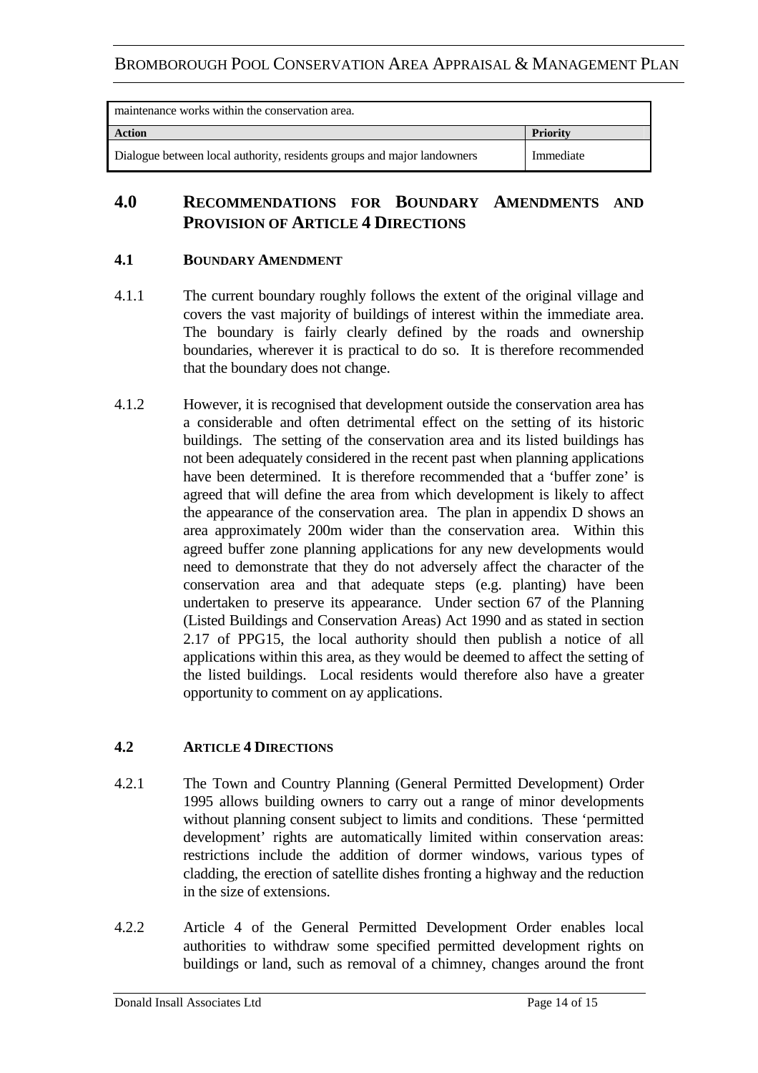| maintenance works within the conservation area.                         |                 |  |
|-------------------------------------------------------------------------|-----------------|--|
| <b>Action</b>                                                           | <b>Priority</b> |  |
| Dialogue between local authority, residents groups and major landowners | Immediate       |  |

### **4.0 RECOMMENDATIONS FOR BOUNDARY AMENDMENTS AND PROVISION OF ARTICLE 4 DIRECTIONS**

#### **4.1 BOUNDARY AMENDMENT**

- 4.1.1 The current boundary roughly follows the extent of the original village and covers the vast majority of buildings of interest within the immediate area. The boundary is fairly clearly defined by the roads and ownership boundaries, wherever it is practical to do so. It is therefore recommended that the boundary does not change.
- 4.1.2 However, it is recognised that development outside the conservation area has a considerable and often detrimental effect on the setting of its historic buildings. The setting of the conservation area and its listed buildings has not been adequately considered in the recent past when planning applications have been determined. It is therefore recommended that a 'buffer zone' is agreed that will define the area from which development is likely to affect the appearance of the conservation area. The plan in appendix D shows an area approximately 200m wider than the conservation area. Within this agreed buffer zone planning applications for any new developments would need to demonstrate that they do not adversely affect the character of the conservation area and that adequate steps (e.g. planting) have been undertaken to preserve its appearance. Under section 67 of the Planning (Listed Buildings and Conservation Areas) Act 1990 and as stated in section 2.17 of PPG15, the local authority should then publish a notice of all applications within this area, as they would be deemed to affect the setting of the listed buildings. Local residents would therefore also have a greater opportunity to comment on ay applications.

#### **4.2 ARTICLE 4 DIRECTIONS**

- 4.2.1 The Town and Country Planning (General Permitted Development) Order 1995 allows building owners to carry out a range of minor developments without planning consent subject to limits and conditions. These 'permitted development' rights are automatically limited within conservation areas: restrictions include the addition of dormer windows, various types of cladding, the erection of satellite dishes fronting a highway and the reduction in the size of extensions.
- 4.2.2 Article 4 of the General Permitted Development Order enables local authorities to withdraw some specified permitted development rights on buildings or land, such as removal of a chimney, changes around the front